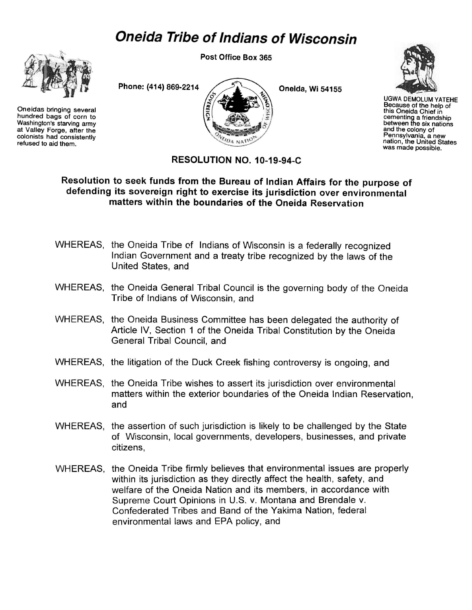## *Oneida Tribe of Indians of Wisconsin*



Oneidas bringing several hundred bags of corn to Washington's starving army at Valley Forge, after the colonists had consistentiy refused to aid them.

Post Office Box 365



Oneida, **Wi** 54155



UGWA DEMOLUM YATEHE Because of the help of this Oneida Chief in cementing a friendship between the six nations and the colony of Pennsylvania, a new nation, the United States was made possible.

## **RESOLUTION NO. 10-19-94-C**

## **Resolution to seek funds from the Bureau of Indian Affairs for the purpose of defending its sovereign right to exercise its jurisdiction over environmental matters within the boundaries of the Oneida Reservation**

- WHEREAS, the Oneida Tribe of Indians of Wisconsin is a federally recognized Indian Government and a treaty tribe recognized by the laws of the United States, and
- WHEREAS, the Oneida General Tribal Council is the governing body of the Oneida Tribe of Indians of Wisconsin, and
- WHEREAS, the Oneida Business Committee has been delegated the authority of Article IV, Section 1 of the Oneida Tribal Constitution by the Oneida General Tribal Council, and
- WHEREAS, the litigation of the Duck Creek fishing controversy is ongoing, and
- WHEREAS, the Oneida Tribe wishes to assert its jurisdiction over environmental matters within the exterior boundaries of the Oneida Indian Reservation, and
- WHEREAS, the assertion of such jurisdiction is likely to be challenged by the State of Wisconsin, local governments, developers, businesses, and private citizens,
- WHEREAS, the Oneida Tribe firmly believes that environmental issues are properly within its jurisdiction as they directly affect the health, safety, and welfare of the Oneida Nation and its members, in accordance with Supreme Court Opinions in U.S. v. Montana and Brendale v. Confederated Tribes and Band of the Yakima Nation, federal environmental laws and EPA policy, and